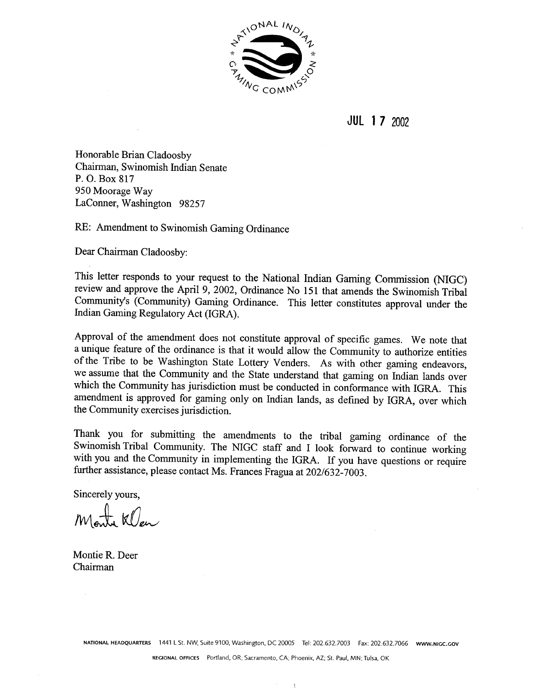

 $JUL$  1 7 2002

Honorable Brian Cladoosby Chairman, Swinomish Indian Senate P.O. Box 817 950 Moorage Way LaConner, Washington 98257

RE: Amendment to Swinomish Gaming Ordinance

Dear Chairman Cladoosby:

This letter responds to your request to the National Indian Gaming Commission (NIGC) review and approve the April 9, 2002, Ordinance No 151 that amends the Swinomish Tribal Community's (Community) Gaming Ordinance. This letter constitutes approval under the Indian Gaming Regulatory Act (IGRA).

Approval of the amendment does not constitute approval of specific games. We note that a unique feature of the ordinance is that it would allow the Community to authorize entities of the Tribe to be Washington State Lottery Venders. As with other gaming endeavors, we assume that the Community and the State understand that gaming on Indian lands over which the Community has jurisdiction must be conducted in conformance with IGRA. This amendment is approved for gaming only on Indian lands, as defined by IGRA, over which the Community exercises jurisdiction.

Thank you for submitting the amendments to the tribal gaming ordinance of the Swinomish Tribal Community. The NIGC staff and I look forward to continue working with you and the Community in implementing the IGRA. If you have questions or require further assistance, please contact Ms. Frances Fragua at 202/632-7003.

Sincerely vours.

Monta Klen

Montie R. Deer Chairman

NATIONAL HEADQUARTERS 1441 L St. NW, Suite 9100, Washington, DC 20005 Tel: 202.632.7003 Fax: 202.632.7066 www.NIGC.GOV

 $\mathbf{I}$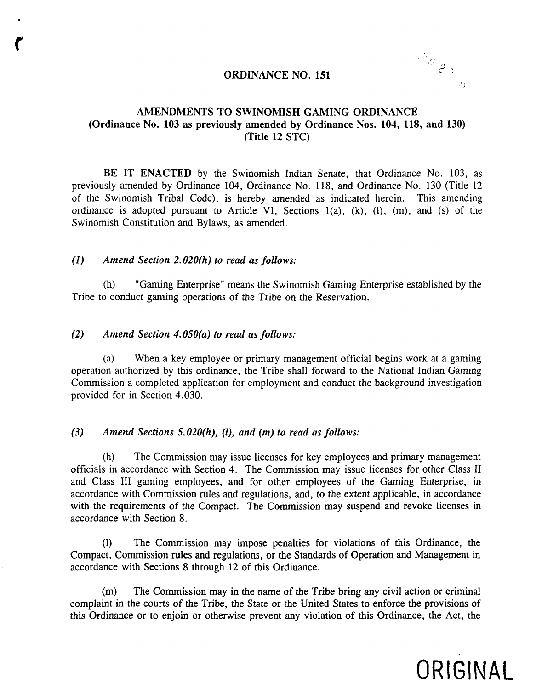#### **ORDINANCE NO. <sup>151</sup>**

 $\frac{d\mu}{d\beta}$  $\mathcal{L}_2$ 

### **AMENDMENTS TO SWINOMISH GAMING ORDINANCE (Ordinance No. 103 as previously amended by Ordinance Nos. 104, 118, and 130) (Title 12 SIC)**

**BE IT ENACTED by the Swinomish Indian Senate, that Ordinance No. 103, as previously amended by Ordinance 104, Ordinance No. 118, and Ordinance No. 130 (Title <sup>12</sup> of the Swinomish Tribal Code), is hereby amended as indicated herein. This amending ordinance is adopted pursuant to Article VI, Sections 1(a), (k), (1), (m), and (s) of the Swinomish Constitution and Bylaws, as amended.**

#### **(1) Amend Section 2.020(h) to read as follows:**

**(h) Gaming Enterprise means the Swinomish Gaming Enterprise established by the Tribe to conduct gaming operations of the Tribe on the Reservation.**

#### **(2) Amend Section 4.050(a) to read as follows:**

**(a) When <sup>a</sup> key employee or primary management official begins work at <sup>a</sup> gaming operation authorized by this ordinance, the Tribe shall forward to the National Indian Gaming Commission <sup>a</sup> completed application for employment and conduct the background investigation provided for in Section 4.030.**

#### **(3) Amend Sections 5.020(h), (1), and (m) to read as follows:**

**(h) The Commission may issue licenses for key employees and primary management officials in accordance with Section 4. The Commission may issue licenses for other Class II and Class III gaming employees, and for other employees of the Gaming Enterprise, in accordance with Commission rules and regulations, and, to the extent applicable, in accordance with the requirements of the Compact. The Commission may suspend and revoke licenses in accordance with Section 8.**

**(1) The Commission may impose penalties for violations of this Ordinance, the Compact, Commission rules and regulations, or the Standards of Operation and Management in accordance with Sections 8 through 12 of this Ordinance.**

**(m) The Commission may in the name of the Tribe bring any civil action or criminal complaint in the courts of the Tribe, the State or the United States to enforce the provisions of this Ordinance or to enjoin or otherwise prevent any violation of this Ordinance, the Act, the**

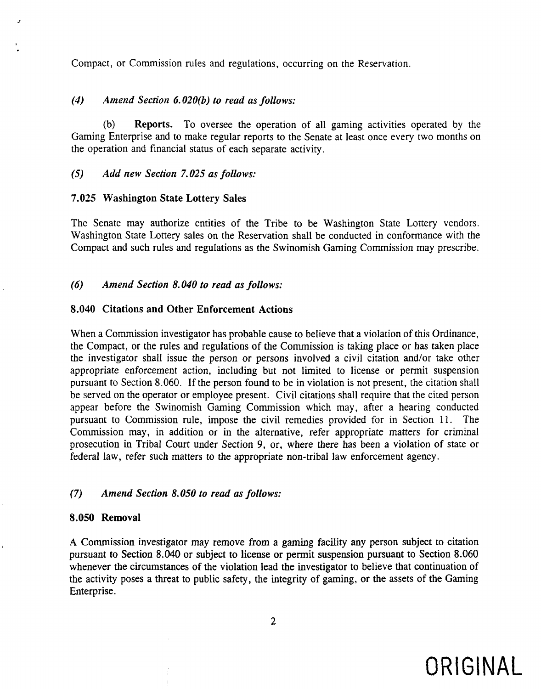**Compact, or Commission rules and regulations, occurring on the Reservation.**

#### **(4) Amend Section 6.020(b) to read as follows:**

**(b) Reports. To oversee the operation of all gaming activities operated by the Gaming Enterprise and to make regular reports to the Senate at least once every two months on the operation and financial status of each separate activity.**

#### **(5) Add new Section 7.025 as follows:**

#### **7.025 Washington State Lottery Sales**

**The Senate may authorize entities of the Tribe to be Washington State Lottery vendors. Washington State Lottery sales on the Reservation shall be conducted in conformance with the Compact and such rules and regulations as the Swinomish Gaming Commission may prescribe.**

#### **(6) Amend Section 8.040 to read as follows:**

#### **8.040 Citations and Other Enforcement Actions**

**When <sup>a</sup> Commission inyestigator has probable cause to believe that <sup>a</sup> violation of this Ordinance, the Compact, or the rules and regulations of the Commission is taking place or has taken place the investigator shall issue the person or persons involved <sup>a</sup> civil citation and/or take other appropriate enforcement action, including but not limited to license or permit suspension** pursuant to Section 8.060. If the person found to be in violation is not present, the citation shall **be served on the operator or employee present. Civil citations shall require that the cited person appear before the Swinomish Gaming Commission which may, after <sup>a</sup> hearing conducted pursuant to Commission rule, impose the civil remedies provided for in Section 11. The Commission may, in addition or in the alternative, refer appropriate matters for criminal prosecution in Tribal Court under Section 9, or, where there has been <sup>a</sup> violation of state or federal law, refer such matters to the appropriate non-tribal law enforcement agency.**

#### **(7) Amend Section 8.050 to read as follows:**

#### **8.050 Removal**

**A Commission investigator may remove from <sup>a</sup> gaming facility any person subject to citation pursuant to Section 8.040 or subject to license or permit suspension pursuant to Section 8.060 whenever the circumstances of the violation lead the investigator to believe that continuation of the activity poses <sup>a</sup> threat to public safety, the integrity of gaming, or the assets of the Gaming Enterprise.**

**2**

# **ORIGINAL**